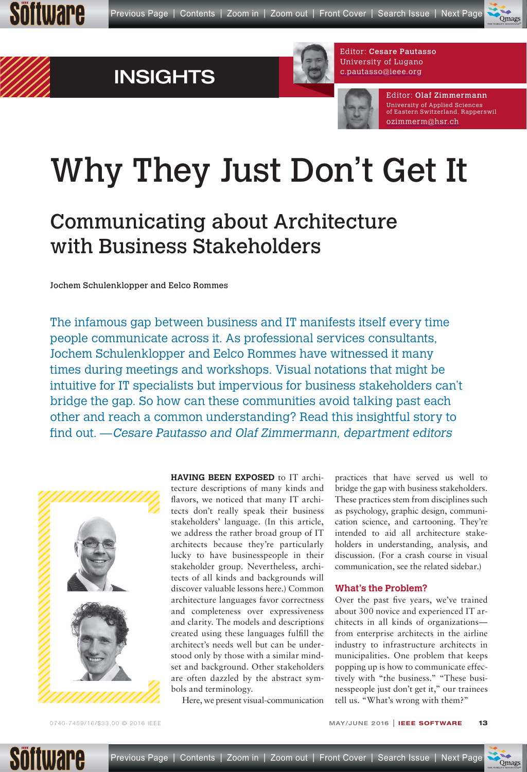







Editor: Olaf Zimmermann University of Applied Sciences of Eastern Switzerland, Rapperswil ozimmerm@hsr.ch [\\_\\_\\_\\_\\_\\_\\_\\_\\_\\_\\_\\_\\_](mailto:ozimmerm@hsr.ch)

# Why They Just Don't Get It

## Communicating about Architecture with Business Stakeholders

Jochem Schulenklopper and Eelco Rommes

The infamous gap between business and IT manifests itself every time people communicate across it. As professional services consultants, Jochem Schulenklopper and Eelco Rommes have witnessed it many times during meetings and workshops. Visual notations that might be intuitive for IT specialists but impervious for business stakeholders can't bridge the gap. So how can these communities avoid talking past each other and reach a common understanding? Read this insightful story to find out. — Cesare Pautasso and Olaf Zimmermann, department editors



**HAVING BEEN EXPOSED** to IT archi-

tecture descriptions of many kinds and flavors, we noticed that many IT architects don't really speak their business stakeholders' language. (In this article, we address the rather broad group of IT architects because they're particularly lucky to have businesspeople in their stakeholder group. Nevertheless, architects of all kinds and backgrounds will discover valuable lessons here.) Common architecture languages favor correctness and completeness over expressiveness and clarity. The models and descriptions created using these languages fulfill the architect's needs well but can be understood only by those with a similar mindset and background. Other stakeholders are often dazzled by the abstract symbols and terminology.

Here, we present visual-communication

practices that have served us well to bridge the gap with business stakeholders. These practices stem from disciplines such as psychology, graphic design, communication science, and cartooning. They're intended to aid all architecture stakeholders in understanding, analysis, and discussion. (For a crash course in visual communication, see the related sidebar.)

#### **What's the Problem?**

Over the past five years, we've trained about 300 novice and experienced IT architects in all kinds of organizations from enterprise architects in the airline industry to infrastructure architects in municipalities. One problem that keeps popping up is how to communicate effectively with "the business." "These businesspeople just don't get it," our trainees tell us. "What's wrong with them?"

**Omags** 

 $\overline{\phantom{a}}$  $\mathcal{L}_{\mathcal{R}}$ THE WORLD'S NEWSSTAND®

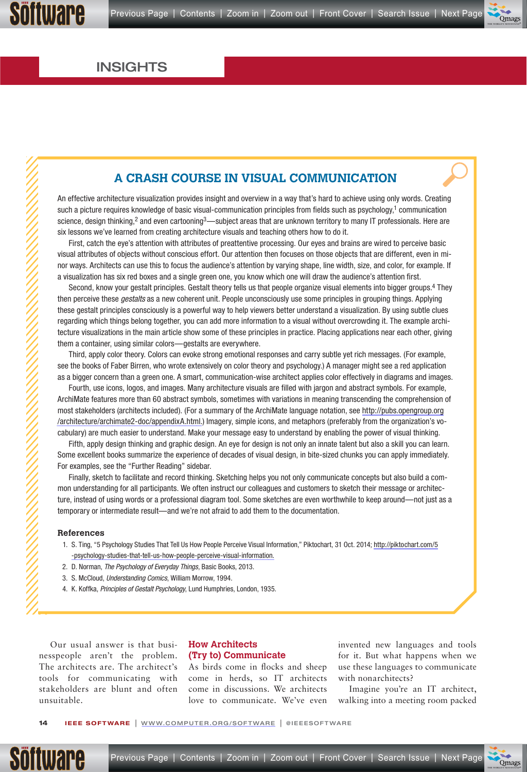#### $\blacktriangledown$  $\overline{\phantom{a}}$ Omag  $\overline{\phantom{a}}$  $\mathcal{L}_{\mathcal{R}}$ THE WORLD'S NEWSSTAND®

### INSIGHTS

### **A CRASH COURSE IN VISUAL COMMUNICATION**

An effective architecture visualization provides insight and overview in a way that's hard to achieve using only words. Creating such a picture requires knowledge of basic visual-communication principles from fields such as psychology,<sup>1</sup> communication science, design thinking,<sup>2</sup> and even cartooning<sup>3</sup>—subject areas that are unknown territory to many IT professionals. Here are six lessons we've learned from creating architecture visuals and teaching others how to do it.

First, catch the eye's attention with attributes of preattentive processing. Our eyes and brains are wired to perceive basic visual attributes of objects without conscious effort. Our attention then focuses on those objects that are different, even in minor ways. Architects can use this to focus the audience's attention by varying shape, line width, size, and color, for example. If a visualization has six red boxes and a single green one, you know which one will draw the audience's attention first.

Second, know your gestalt principles. Gestalt theory tells us that people organize visual elements into bigger groups.4 They then perceive these *gestalts* as a new coherent unit. People unconsciously use some principles in grouping things. Applying these gestalt principles consciously is a powerful way to help viewers better understand a visualization. By using subtle clues regarding which things belong together, you can add more information to a visual without overcrowding it. The example architecture visualizations in the main article show some of these principles in practice. Placing applications near each other, giving them a container, using similar colors—gestalts are everywhere.

Third, apply color theory. Colors can evoke strong emotional responses and carry subtle yet rich messages. (For example, see the books of Faber Birren, who wrote extensively on color theory and psychology.) A manager might see a red application as a bigger concern than a green one. A smart, communication-wise architect applies color effectively in diagrams and images.

Fourth, use icons, logos, and images. Many architecture visuals are filled with jargon and abstract symbols. For example, ArchiMate features more than 60 abstract symbols, sometimes with variations in meaning transcending the comprehension of most stakeholders (architects included). (For a summary of the ArchiMate language notation, see [http://pubs.opengroup.org](http://www.qmags.com/clickthrough.asp?url=http://pubs.opengroup.org/architecture/archimate2-doc/appendixA.html&id=19832&adid=P14E1) /architecture/archimate2-doc/appendixA.html.) Imagery, simple icons, and metaphors (preferably from the organization's vocabulary) are much easier to understand. Make your message easy to understand by enabling the power of visual thinking.

Fifth, apply design thinking and graphic design. An eye for design is not only an innate talent but also a skill you can learn. Some excellent books summarize the experience of decades of visual design, in bite-sized chunks you can apply immediately. For examples, see the "Further Reading" sidebar.

Finally, sketch to facilitate and record thinking. Sketching helps you not only communicate concepts but also build a common understanding for all participants. We often instruct our colleagues and customers to sketch their message or architecture, instead of using words or a professional diagram tool. Some sketches are even worthwhile to keep around—not just as a temporary or intermediate result—and we're not afraid to add them to the documentation.

#### **References**

- 1. [S. Ting, "5 Psychology Studies That Tell Us How People Perceive Visual Information," Piktochart, 31 Oct. 2014; http://piktochart.com/5](http://www.qmags.com/clickthrough.asp?url=http://piktochart.com/5-psychology-studies-that-tell-us-how-people-perceive-visual-information&id=19832&adid=P14E2) -psychology-studies-that-tell-us-how-people-perceive-visual-information.
- 2. D. Norman, The Psychology of Everyday Things, Basic Books, 2013.
- 3. S. McCloud, Understanding Comics, William Morrow, 1994.
- 4. K. Koffka, Principles of Gestalt Psychology, Lund Humphries, London, 1935.

Our usual answer is that busi-**How Architects**  nesspeople aren't the problem. The architects are. The architect's tools for communicating with stakeholders are blunt and often unsuitable.

## **(Try to) Communicate**

As birds come in flocks and sheep come in herds, so IT architects come in discussions. We architects love to communicate. We've even invented new languages and tools for it. But what happens when we use these languages to communicate with nonarchitects?

Imagine you're an IT architect, walking into a meeting room packed

**14 IEEE SOFTWARE** | WWW.COMPUTER.ORG/SOFTWARE | @IEEESOFTWARE [\\_\\_\\_\\_\\_\\_\\_\\_\\_\\_\\_\\_\\_\\_\\_\\_\\_\\_\\_\\_\\_\\_\\_](http://www.qmags.com/clickthrough.asp?url=www.computer.org/software&id=19832&adid=P14E3)



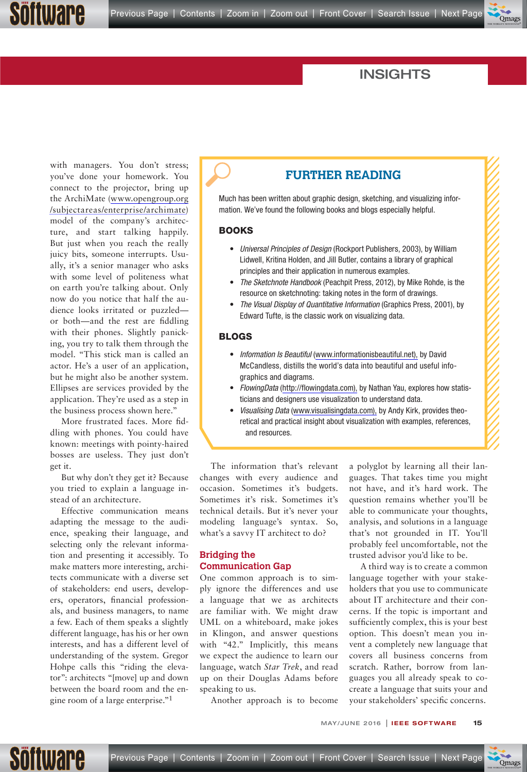

### INSIGHTS

with managers. You don't stress; you've done your homework. You connect to the projector, bring up the ArchiMate (www.opengroup.org /subjectareas/enterprise/archimate) model of the company's architecture, and start talking happily. But just when you reach the really juicy bits, someone interrupts. Usually, it's a senior manager who asks with some level of politeness what on earth you're talking about. Only now do you notice that half the audience looks irritated or puzzled or both—and the rest are fiddling with their phones. Slightly panicking, you try to talk them through the model. "This stick man is called an actor. He's a user of an application, but he might also be another system. Ellipses are services provided by the application. They're used as a step in the business process shown here."

Software

More frustrated faces. More fiddling with phones. You could have known: meetings with pointy-haired bosses are useless. They just don't get it.

But why don't they get it? Because you tried to explain a language instead of an architecture.

Effective communication means adapting the message to the audience, speaking their language, and selecting only the relevant information and presenting it accessibly. To make matters more interesting, architects communicate with a diverse set of stakeholders: end users, developers, operators, financial professionals, and business managers, to name a few. Each of them speaks a slightly different language, has his or her own interests, and has a different level of understanding of the system. Gregor Hohpe calls this "riding the elevator": architects "[move] up and down between the board room and the engine room of a large enterprise."1

#### **FURTHER READING**

Much has been written about graphic design, sketching, and visualizing information. We've found the following books and blogs especially helpful.

#### **BOOKS**

- Universal Principles of Design (Rockport Publishers, 2003), by William Lidwell, Kritina Holden, and Jill Butler, contains a library of graphical principles and their application in numerous examples.
- The Sketchnote Handbook (Peachpit Press, 2012), by Mike Rohde, is the resource on sketchnoting: taking notes in the form of drawings.
- The Visual Display of Quantitative Information (Graphics Press, 2001), by Edward Tufte, is the classic work on visualizing data.

#### **BLOGS**

- Information Is Beautiful [\(www.informationisbeautiful.net\),](http://www.qmags.com/clickthrough.asp?url=www.informationisbeautiful.net&id=19832&adid=P15E2) by David Mc Candless, distills the world's data into beautiful and useful infographics and diagrams.
- FlowingData ([http://flowingdata.com\),](http://www.qmags.com/clickthrough.asp?url=http://flowingdata.com&id=19832&adid=P15E3) by Nathan Yau, explores how statisticians and designers use visualization to understand data.
- Visualising Data [\(www.visualisingdata.com\),](http://www.qmags.com/clickthrough.asp?url=www.visualisingdata.com&id=19832&adid=P15E4) by Andy Kirk, provides theoretical and practical insight about visualization with examples, references, and resources.

The information that's relevant changes with every audience and occasion. Sometimes it's budgets. Sometimes it's risk. Sometimes it's technical details. But it's never your modeling language's syntax. So, what's a savvy IT architect to do?

#### **Bridging the Communication Gap**

One common approach is to simply ignore the differences and use a language that we as architects are familiar with. We might draw UML on a whiteboard, make jokes in Klingon, and answer questions with "42." Implicitly, this means we expect the audience to learn our language, watch *Star Trek*, and read up on their Douglas Adams before speaking to us.

Another approach is to become

a polyglot by learning all their languages. That takes time you might not have, and it's hard work. The question remains whether you'll be able to communicate your thoughts, analysis, and solutions in a language that's not grounded in IT. You'll probably feel uncomfortable, not the trusted advisor you'd like to be.

A third way is to create a common language together with your stakeholders that you use to communicate about IT architecture and their concerns. If the topic is important and sufficiently complex, this is your best option. This doesn't mean you invent a completely new language that covers all business concerns from scratch. Rather, borrow from languages you all already speak to cocreate a language that suits your and your stakeholders' specific concerns.

MAY/JUNE 2016 | **IEEE SOFTWARE 15**



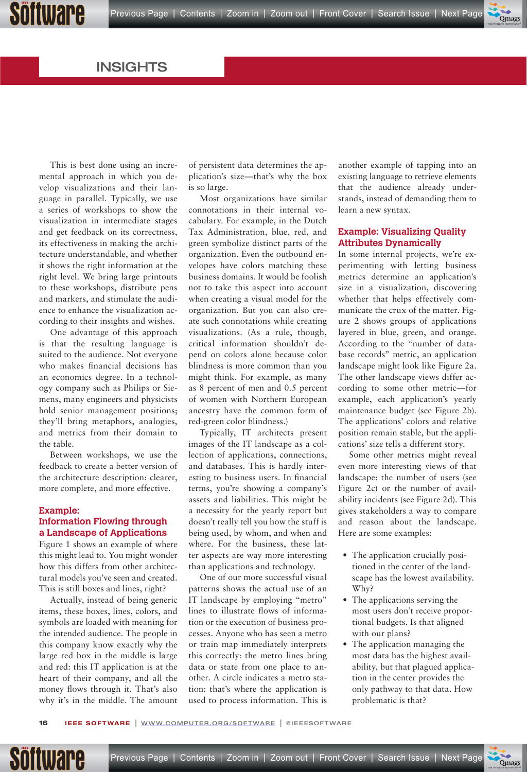

 $\overline{\phantom{a}}$ 

#### INSIGHTS

This is best done using an incremental approach in which you develop visualizations and their language in parallel. Typically, we use a series of workshops to show the visualization in intermediate stages and get feedback on its correctness, its effectiveness in making the architecture understandable, and whether it shows the right information at the right level. We bring large printouts to these workshops, distribute pens and markers, and stimulate the audience to enhance the visualization according to their insights and wishes.

One advantage of this approach is that the resulting language is suited to the audience. Not everyone who makes financial decisions has an economics degree. In a technology company such as Philips or Siemens, many engineers and physicists hold senior management positions; they'll bring metaphors, analogies, and metrics from their domain to the table.

Between workshops, we use the feedback to create a better version of the architecture description: clearer, more complete, and more effective.

#### **Example: Information Flowing through a Landscape of Applications**

Figure 1 shows an example of where this might lead to. You might wonder how this differs from other architectural models you've seen and created. This is still boxes and lines, right?

Actually, instead of being generic items, these boxes, lines, colors, and symbols are loaded with meaning for the intended audience. The people in this company know exactly why the large red box in the middle is large and red: this IT application is at the heart of their company, and all the money flows through it. That's also why it's in the middle. The amount

of persistent data determines the application's size—that's why the box is so large.

Most organizations have similar connotations in their internal vocabulary. For example, in the Dutch Tax Administration, blue, red, and green symbolize distinct parts of the organization. Even the outbound envelopes have colors matching these business domains. It would be foolish not to take this aspect into account when creating a visual model for the organization. But you can also create such connotations while creating visualizations. (As a rule, though, critical information shouldn't depend on colors alone because color blindness is more common than you might think. For example, as many as 8 percent of men and 0.5 percent of women with Northern European ancestry have the common form of red-green color blindness.)

Typically, IT architects present images of the IT landscape as a collection of applications, connections, and databases. This is hardly interesting to business users. In financial terms, you're showing a company's assets and liabilities. This might be a necessity for the yearly report but doesn't really tell you how the stuff is being used, by whom, and when and where. For the business, these latter aspects are way more interesting than applications and technology.

One of our more successful visual patterns shows the actual use of an IT landscape by employing "metro" lines to illustrate flows of information or the execution of business processes. Anyone who has seen a metro or train map immediately interprets this correctly: the metro lines bring data or state from one place to another. A circle indicates a metro station: that's where the application is used to process information. This is

another example of tapping into an existing language to retrieve elements that the audience already understands, instead of demanding them to learn a new syntax.

#### **Example: Visualizing Quality Attributes Dynamically**

In some internal projects, we're experimenting with letting business metrics determine an application's size in a visualization, discovering whether that helps effectively communicate the crux of the matter. Figure 2 shows groups of applications layered in blue, green, and orange. According to the "number of database records" metric, an application landscape might look like Figure 2a. The other landscape views differ according to some other metric—for example, each application's yearly maintenance budget (see Figure 2b). The applications' colors and relative position remain stable, but the applications' size tells a different story.

Some other metrics might reveal even more interesting views of that landscape: the number of users (see Figure 2c) or the number of availability incidents (see Figure 2d). This gives stakeholders a way to compare and reason about the landscape. Here are some examples:

- The application crucially positioned in the center of the landscape has the lowest availability. Why?
- The applications serving the most users don't receive proportional budgets. Is that aligned with our plans?
- The application managing the most data has the highest availability, but that plagued application in the center provides the only pathway to that data. How problematic is that?

**16 FEE SOFTWARE** | <u>WWW.COMPUTER.ORG/SOFTWARE</u> | @IEEESOFTWARE

Söftware

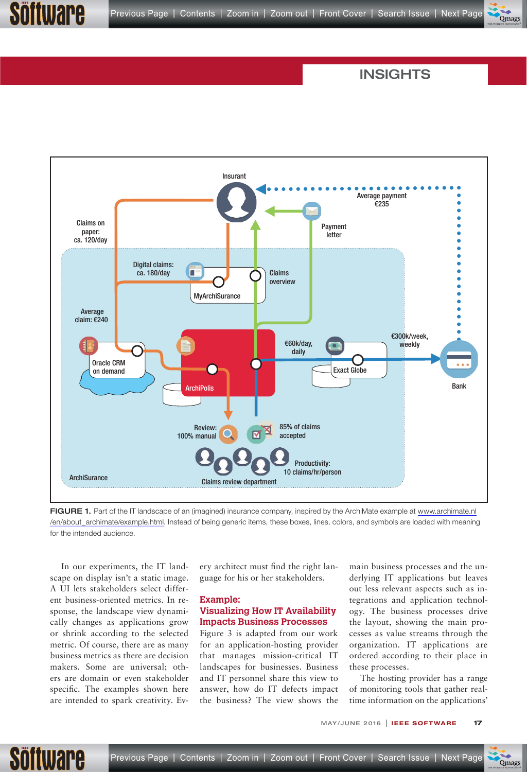

#### INSIGHTS



FIGURE 1. Part of the IT landscape of an (imagined) insurance company, inspired by the ArchiMate example at [www.archimate.nl](http://www.qmags.com/clickthrough.asp?url=www.archimate.nl/en/about_archimate/example.html&id=19832&adid=P17E1) /en/about\_archimate/example.html. Instead of being generic items, these boxes, lines, colors, and symbols are loaded with meaning for the intended audience.

In our experiments, the IT landscape on display isn't a static image. A UI lets stakeholders select different business-oriented metrics. In response, the landscape view dynamically changes as applications grow or shrink according to the selected metric. Of course, there are as many business metrics as there are decision makers. Some are universal; others are domain or even stakeholder specific. The examples shown here are intended to spark creativity. Every architect must find the right language for his or her stakeholders.

#### **Example: Visualizing How IT Availability Impacts Business Processes**

Figure 3 is adapted from our work for an application-hosting provider that manages mission-critical IT landscapes for businesses. Business and IT personnel share this view to answer, how do IT defects impact the business? The view shows the main business processes and the underlying IT applications but leaves out less relevant aspects such as integrations and application technology. The business processes drive the layout, showing the main processes as value streams through the organization. IT applications are ordered according to their place in these processes.

The hosting provider has a range of monitoring tools that gather realtime information on the applications'

> $\blacktriangledown$  $\overline{\phantom{a}}$  $\bullet$  $\overline{\phantom{a}}$  $\mathcal{L}_{\mathcal{R}}$ THE WORLD'S NEWSSTAND®

MAY/JUNE 2016 | **IEEE SOFTWARE 17**



itware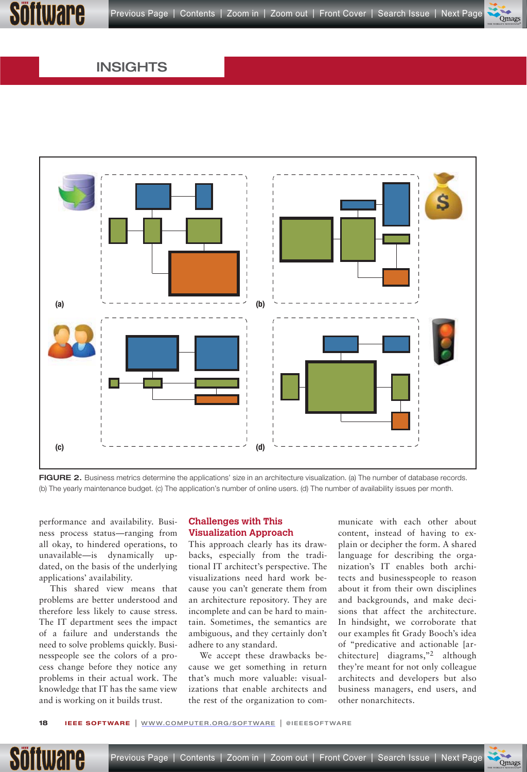$\overline{\phantom{a}}$ 

THE WORLD'S NEWSSTAND®

#### INSIGHTS



FIGURE 2. Business metrics determine the applications' size in an architecture visualization. (a) The number of database records. (b) The yearly maintenance budget. (c) The application's number of online users. (d) The number of availability issues per month.

performance and availability. Business process status—ranging from all okay, to hindered operations, to unavailable—is dynamically updated, on the basis of the underlying applications' availability.

This shared view means that problems are better understood and therefore less likely to cause stress. The IT department sees the impact of a failure and understands the need to solve problems quickly. Businesspeople see the colors of a process change before they notice any problems in their actual work. The knowledge that IT has the same view and is working on it builds trust.

#### **Challenges with This Visualization Approach**

This approach clearly has its drawbacks, especially from the traditional IT architect's perspective. The visualizations need hard work because you can't generate them from an architecture repository. They are incomplete and can be hard to maintain. Sometimes, the semantics are ambiguous, and they certainly don't adhere to any standard.

We accept these drawbacks because we get something in return that's much more valuable: visualizations that enable architects and the rest of the organization to communicate with each other about content, instead of having to explain or decipher the form. A shared language for describing the organization's IT enables both architects and businesspeople to reason about it from their own disciplines and backgrounds, and make decisions that affect the architecture. In hindsight, we corroborate that our examples fit Grady Booch's idea of "predicative and actionable [architecture] diagrams,"2 although they're meant for not only colleague architects and developers but also business managers, end users, and other nonarchitects.

 $\overline{\phantom{a}}$ 

THE WORLD'S NEWSSTAND®

**18 FEE SOFTWARE** | <u>WWW.COMPUTER.ORG/SOFTWARE</u> | @IEEESOFTWARE